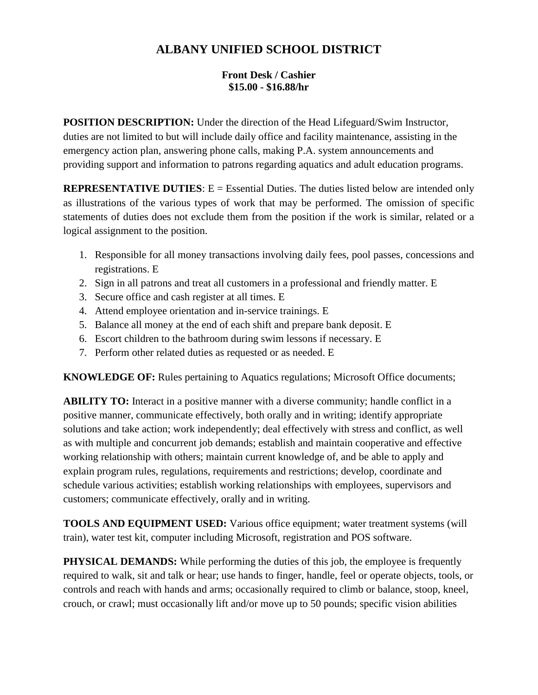## **ALBANY UNIFIED SCHOOL DISTRICT**

## **Front Desk / Cashier \$15.00 - \$16.88/hr**

**POSITION DESCRIPTION:** Under the direction of the Head Lifeguard/Swim Instructor, duties are not limited to but will include daily office and facility maintenance, assisting in the emergency action plan, answering phone calls, making P.A. system announcements and providing support and information to patrons regarding aquatics and adult education programs.

**REPRESENTATIVE DUTIES:** E = Essential Duties. The duties listed below are intended only as illustrations of the various types of work that may be performed. The omission of specific statements of duties does not exclude them from the position if the work is similar, related or a logical assignment to the position.

- 1. Responsible for all money transactions involving daily fees, pool passes, concessions and registrations. E
- 2. Sign in all patrons and treat all customers in a professional and friendly matter. E
- 3. Secure office and cash register at all times. E
- 4. Attend employee orientation and in-service trainings. E
- 5. Balance all money at the end of each shift and prepare bank deposit. E
- 6. Escort children to the bathroom during swim lessons if necessary. E
- 7. Perform other related duties as requested or as needed. E

**KNOWLEDGE OF:** Rules pertaining to Aquatics regulations; Microsoft Office documents;

**ABILITY TO:** Interact in a positive manner with a diverse community; handle conflict in a positive manner, communicate effectively, both orally and in writing; identify appropriate solutions and take action; work independently; deal effectively with stress and conflict, as well as with multiple and concurrent job demands; establish and maintain cooperative and effective working relationship with others; maintain current knowledge of, and be able to apply and explain program rules, regulations, requirements and restrictions; develop, coordinate and schedule various activities; establish working relationships with employees, supervisors and customers; communicate effectively, orally and in writing.

**TOOLS AND EQUIPMENT USED:** Various office equipment; water treatment systems (will train), water test kit, computer including Microsoft, registration and POS software.

**PHYSICAL DEMANDS:** While performing the duties of this job, the employee is frequently required to walk, sit and talk or hear; use hands to finger, handle, feel or operate objects, tools, or controls and reach with hands and arms; occasionally required to climb or balance, stoop, kneel, crouch, or crawl; must occasionally lift and/or move up to 50 pounds; specific vision abilities